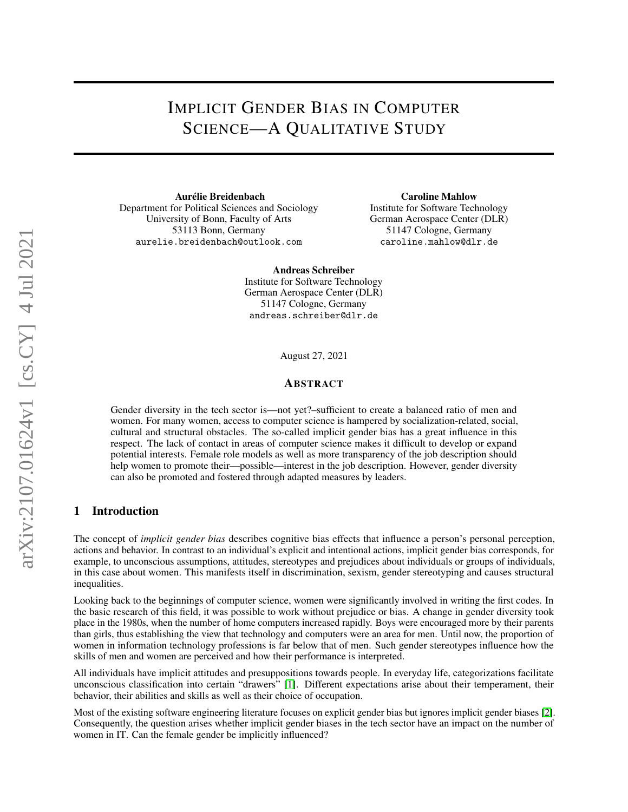# IMPLICIT GENDER BIAS IN COMPUTER SCIENCE—A QUALITATIVE STUDY

Aurélie Breidenbach Department for Political Sciences and Sociology University of Bonn, Faculty of Arts 53113 Bonn, Germany aurelie.breidenbach@outlook.com

Caroline Mahlow Institute for Software Technology German Aerospace Center (DLR) 51147 Cologne, Germany caroline.mahlow@dlr.de

Andreas Schreiber

Institute for Software Technology German Aerospace Center (DLR) 51147 Cologne, Germany andreas.schreiber@dlr.de

August 27, 2021

#### ABSTRACT

Gender diversity in the tech sector is—not yet?–sufficient to create a balanced ratio of men and women. For many women, access to computer science is hampered by socialization-related, social, cultural and structural obstacles. The so-called implicit gender bias has a great influence in this respect. The lack of contact in areas of computer science makes it difficult to develop or expand potential interests. Female role models as well as more transparency of the job description should help women to promote their—possible—interest in the job description. However, gender diversity can also be promoted and fostered through adapted measures by leaders.

#### 1 Introduction

The concept of *implicit gender bias* describes cognitive bias effects that influence a person's personal perception, actions and behavior. In contrast to an individual's explicit and intentional actions, implicit gender bias corresponds, for example, to unconscious assumptions, attitudes, stereotypes and prejudices about individuals or groups of individuals, in this case about women. This manifests itself in discrimination, sexism, gender stereotyping and causes structural inequalities.

Looking back to the beginnings of computer science, women were significantly involved in writing the first codes. In the basic research of this field, it was possible to work without prejudice or bias. A change in gender diversity took place in the 1980s, when the number of home computers increased rapidly. Boys were encouraged more by their parents than girls, thus establishing the view that technology and computers were an area for men. Until now, the proportion of women in information technology professions is far below that of men. Such gender stereotypes influence how the skills of men and women are perceived and how their performance is interpreted.

All individuals have implicit attitudes and presuppositions towards people. In everyday life, categorizations facilitate unconscious classification into certain "drawers" [\[1\]](#page-4-0). Different expectations arise about their temperament, their behavior, their abilities and skills as well as their choice of occupation.

Most of the existing software engineering literature focuses on explicit gender bias but ignores implicit gender biases [\[2\]](#page-4-1). Consequently, the question arises whether implicit gender biases in the tech sector have an impact on the number of women in IT. Can the female gender be implicitly influenced?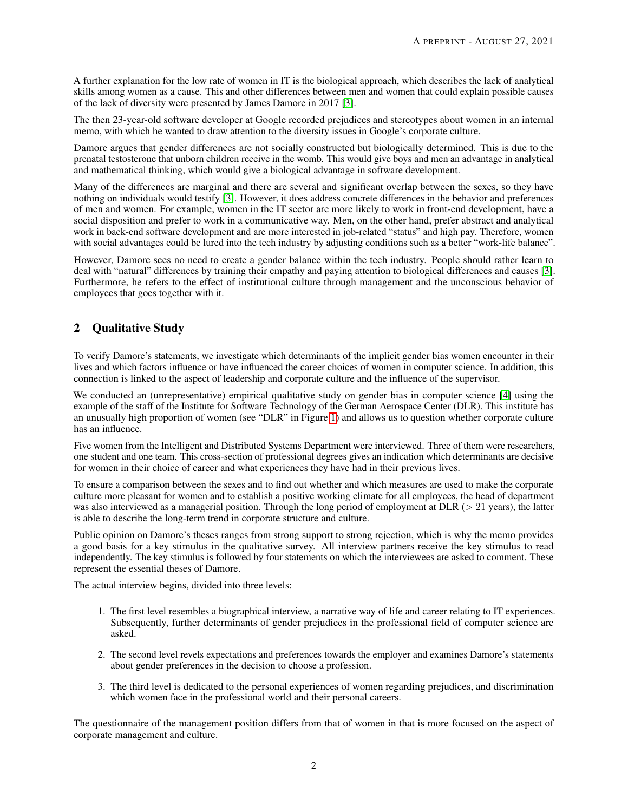A further explanation for the low rate of women in IT is the biological approach, which describes the lack of analytical skills among women as a cause. This and other differences between men and women that could explain possible causes of the lack of diversity were presented by James Damore in 2017 [\[3\]](#page-4-2).

The then 23-year-old software developer at Google recorded prejudices and stereotypes about women in an internal memo, with which he wanted to draw attention to the diversity issues in Google's corporate culture.

Damore argues that gender differences are not socially constructed but biologically determined. This is due to the prenatal testosterone that unborn children receive in the womb. This would give boys and men an advantage in analytical and mathematical thinking, which would give a biological advantage in software development.

Many of the differences are marginal and there are several and significant overlap between the sexes, so they have nothing on individuals would testify [\[3\]](#page-4-2). However, it does address concrete differences in the behavior and preferences of men and women. For example, women in the IT sector are more likely to work in front-end development, have a social disposition and prefer to work in a communicative way. Men, on the other hand, prefer abstract and analytical work in back-end software development and are more interested in job-related "status" and high pay. Therefore, women with social advantages could be lured into the tech industry by adjusting conditions such as a better "work-life balance".

However, Damore sees no need to create a gender balance within the tech industry. People should rather learn to deal with "natural" differences by training their empathy and paying attention to biological differences and causes [\[3\]](#page-4-2). Furthermore, he refers to the effect of institutional culture through management and the unconscious behavior of employees that goes together with it.

# 2 Qualitative Study

To verify Damore's statements, we investigate which determinants of the implicit gender bias women encounter in their lives and which factors influence or have influenced the career choices of women in computer science. In addition, this connection is linked to the aspect of leadership and corporate culture and the influence of the supervisor.

We conducted an (unrepresentative) empirical qualitative study on gender bias in computer science [\[4\]](#page-4-3) using the example of the staff of the Institute for Software Technology of the German Aerospace Center (DLR). This institute has an unusually high proportion of women (see "DLR" in Figure [1\)](#page-2-0) and allows us to question whether corporate culture has an influence.

Five women from the Intelligent and Distributed Systems Department were interviewed. Three of them were researchers, one student and one team. This cross-section of professional degrees gives an indication which determinants are decisive for women in their choice of career and what experiences they have had in their previous lives.

To ensure a comparison between the sexes and to find out whether and which measures are used to make the corporate culture more pleasant for women and to establish a positive working climate for all employees, the head of department was also interviewed as a managerial position. Through the long period of employment at DLR ( $>$  21 years), the latter is able to describe the long-term trend in corporate structure and culture.

Public opinion on Damore's theses ranges from strong support to strong rejection, which is why the memo provides a good basis for a key stimulus in the qualitative survey. All interview partners receive the key stimulus to read independently. The key stimulus is followed by four statements on which the interviewees are asked to comment. These represent the essential theses of Damore.

The actual interview begins, divided into three levels:

- 1. The first level resembles a biographical interview, a narrative way of life and career relating to IT experiences. Subsequently, further determinants of gender prejudices in the professional field of computer science are asked.
- 2. The second level revels expectations and preferences towards the employer and examines Damore's statements about gender preferences in the decision to choose a profession.
- 3. The third level is dedicated to the personal experiences of women regarding prejudices, and discrimination which women face in the professional world and their personal careers.

The questionnaire of the management position differs from that of women in that is more focused on the aspect of corporate management and culture.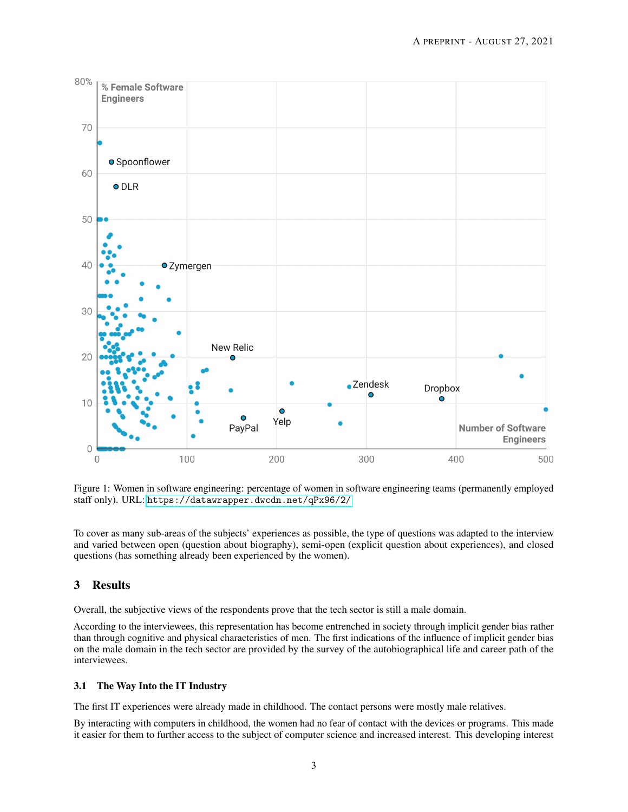

<span id="page-2-0"></span>Figure 1: Women in software engineering: percentage of women in software engineering teams (permanently employed staff only). URL: <https://datawrapper.dwcdn.net/qPx96/2/>

To cover as many sub-areas of the subjects' experiences as possible, the type of questions was adapted to the interview and varied between open (question about biography), semi-open (explicit question about experiences), and closed questions (has something already been experienced by the women).

## 3 Results

Overall, the subjective views of the respondents prove that the tech sector is still a male domain.

According to the interviewees, this representation has become entrenched in society through implicit gender bias rather than through cognitive and physical characteristics of men. The first indications of the influence of implicit gender bias on the male domain in the tech sector are provided by the survey of the autobiographical life and career path of the interviewees.

#### 3.1 The Way Into the IT Industry

The first IT experiences were already made in childhood. The contact persons were mostly male relatives.

By interacting with computers in childhood, the women had no fear of contact with the devices or programs. This made it easier for them to further access to the subject of computer science and increased interest. This developing interest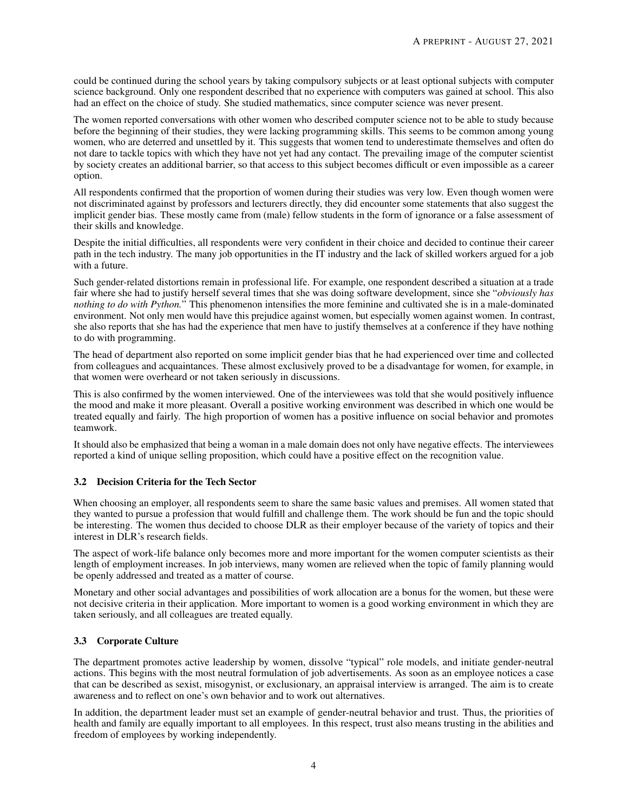could be continued during the school years by taking compulsory subjects or at least optional subjects with computer science background. Only one respondent described that no experience with computers was gained at school. This also had an effect on the choice of study. She studied mathematics, since computer science was never present.

The women reported conversations with other women who described computer science not to be able to study because before the beginning of their studies, they were lacking programming skills. This seems to be common among young women, who are deterred and unsettled by it. This suggests that women tend to underestimate themselves and often do not dare to tackle topics with which they have not yet had any contact. The prevailing image of the computer scientist by society creates an additional barrier, so that access to this subject becomes difficult or even impossible as a career option.

All respondents confirmed that the proportion of women during their studies was very low. Even though women were not discriminated against by professors and lecturers directly, they did encounter some statements that also suggest the implicit gender bias. These mostly came from (male) fellow students in the form of ignorance or a false assessment of their skills and knowledge.

Despite the initial difficulties, all respondents were very confident in their choice and decided to continue their career path in the tech industry. The many job opportunities in the IT industry and the lack of skilled workers argued for a job with a future.

Such gender-related distortions remain in professional life. For example, one respondent described a situation at a trade fair where she had to justify herself several times that she was doing software development, since she "*obviously has nothing to do with Python.*" This phenomenon intensifies the more feminine and cultivated she is in a male-dominated environment. Not only men would have this prejudice against women, but especially women against women. In contrast, she also reports that she has had the experience that men have to justify themselves at a conference if they have nothing to do with programming.

The head of department also reported on some implicit gender bias that he had experienced over time and collected from colleagues and acquaintances. These almost exclusively proved to be a disadvantage for women, for example, in that women were overheard or not taken seriously in discussions.

This is also confirmed by the women interviewed. One of the interviewees was told that she would positively influence the mood and make it more pleasant. Overall a positive working environment was described in which one would be treated equally and fairly. The high proportion of women has a positive influence on social behavior and promotes teamwork.

It should also be emphasized that being a woman in a male domain does not only have negative effects. The interviewees reported a kind of unique selling proposition, which could have a positive effect on the recognition value.

## 3.2 Decision Criteria for the Tech Sector

When choosing an employer, all respondents seem to share the same basic values and premises. All women stated that they wanted to pursue a profession that would fulfill and challenge them. The work should be fun and the topic should be interesting. The women thus decided to choose DLR as their employer because of the variety of topics and their interest in DLR's research fields.

The aspect of work-life balance only becomes more and more important for the women computer scientists as their length of employment increases. In job interviews, many women are relieved when the topic of family planning would be openly addressed and treated as a matter of course.

Monetary and other social advantages and possibilities of work allocation are a bonus for the women, but these were not decisive criteria in their application. More important to women is a good working environment in which they are taken seriously, and all colleagues are treated equally.

## 3.3 Corporate Culture

The department promotes active leadership by women, dissolve "typical" role models, and initiate gender-neutral actions. This begins with the most neutral formulation of job advertisements. As soon as an employee notices a case that can be described as sexist, misogynist, or exclusionary, an appraisal interview is arranged. The aim is to create awareness and to reflect on one's own behavior and to work out alternatives.

In addition, the department leader must set an example of gender-neutral behavior and trust. Thus, the priorities of health and family are equally important to all employees. In this respect, trust also means trusting in the abilities and freedom of employees by working independently.